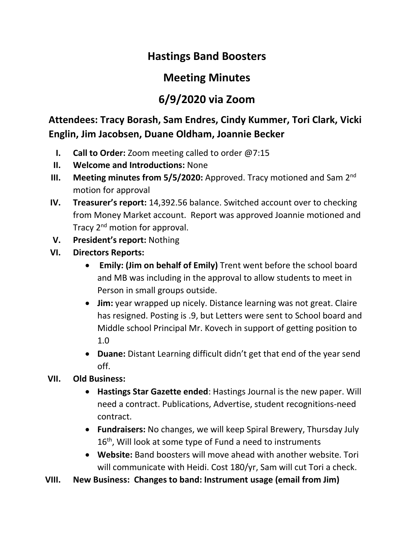## **Hastings Band Boosters**

## **Meeting Minutes**

## **6/9/2020 via Zoom**

**Attendees: Tracy Borash, Sam Endres, Cindy Kummer, Tori Clark, Vicki Englin, Jim Jacobsen, Duane Oldham, Joannie Becker**

- **I. Call to Order:** Zoom meeting called to order @7:15
- **II. Welcome and Introductions:** None
- III. Meeting minutes from 5/5/2020: Approved. Tracy motioned and Sam 2<sup>nd</sup> motion for approval
- **IV. Treasurer's report:** 14,392.56 balance. Switched account over to checking from Money Market account. Report was approved Joannie motioned and Tracy 2<sup>nd</sup> motion for approval.
- **V. President's report:** Nothing
- **VI. Directors Reports:** 
	- **Emily: (Jim on behalf of Emily)** Trent went before the school board and MB was including in the approval to allow students to meet in Person in small groups outside.
	- **Jim:** year wrapped up nicely. Distance learning was not great. Claire has resigned. Posting is .9, but Letters were sent to School board and Middle school Principal Mr. Kovech in support of getting position to 1.0
	- **Duane:** Distant Learning difficult didn't get that end of the year send off.
- **VII. Old Business:** 
	- **Hastings Star Gazette ended**: Hastings Journal is the new paper. Will need a contract. Publications, Advertise, student recognitions-need contract.
	- **Fundraisers:** No changes, we will keep Spiral Brewery, Thursday July  $16<sup>th</sup>$ , Will look at some type of Fund a need to instruments
	- **Website:** Band boosters will move ahead with another website. Tori will communicate with Heidi. Cost 180/yr, Sam will cut Tori a check.
- **VIII. New Business: Changes to band: Instrument usage (email from Jim)**